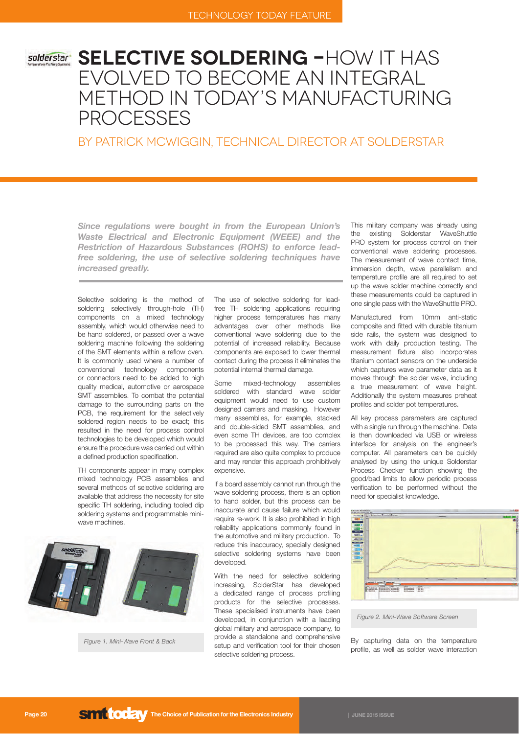# **Selective Soldering -**How it has evolved to become an Integral Method in Today's Manufacturing **PROCESSES**

BY PATRICK MCWIGGIN, TECHNICAL DIRECTOR AT SOLDERSTAR

Since regulations were bought in from the European Union's *Waste Electrical and Electronic Equipment (WEEE) and the*  **Restriction of Hazardous Substances (ROHS) to enforce lead**free soldering, the use of selective soldering techniques have *increased greatly.*

Selective soldering is the method of soldering selectively through-hole (TH) components on a mixed technology assembly, which would otherwise need to be hand soldered, or passed over a wave soldering machine following the soldering of the SMT elements within a reflow oven. It is commonly used where a number of conventional technology components or connectors need to be added to high quality medical, automotive or aerospace SMT assemblies. To combat the potential damage to the surrounding parts on the PCB, the requirement for the selectively soldered region needs to be exact; this resulted in the need for process control technologies to be developed which would ensure the procedure was carried out within a defined production specification.

TH components appear in many complex mixed technology PCB assemblies and several methods of selective soldering are available that address the necessity for site specific TH soldering, including tooled dip soldering systems and programmable miniwave machines.



*Figure 1. Mini-Wave Front & Back*

The use of selective soldering for leadfree TH soldering applications requiring higher process temperatures has many advantages over other methods like conventional wave soldering due to the potential of increased reliability. Because components are exposed to lower thermal contact during the process it eliminates the potential internal thermal damage.

Some mixed-technology assemblies soldered with standard wave solder equipment would need to use custom designed carriers and masking. However many assemblies, for example, stacked and double-sided SMT assemblies, and even some TH devices, are too complex to be processed this way. The carriers required are also quite complex to produce and may render this approach prohibitively expensive.

If a board assembly cannot run through the wave soldering process, there is an option to hand solder, but this process can be inaccurate and cause failure which would require re-work. It is also prohibited in high reliability applications commonly found in the automotive and military production. To reduce this inaccuracy, specially designed selective soldering systems have been developed.

With the need for selective soldering increasing, SolderStar has developed a dedicated range of process profiling products for the selective processes. These specialised instruments have been developed, in conjunction with a leading global military and aerospace company, to provide a standalone and comprehensive setup and verification tool for their chosen selective soldering process.

This military company was already using the existing Solderstar WaveShuttle PRO system for process control on their conventional wave soldering processes. The measurement of wave contact time, immersion depth, wave parallelism and temperature profile are all required to set up the wave solder machine correctly and these measurements could be captured in one single pass with the WaveShuttle PRO.

Manufactured from 10mm anti-static composite and fitted with durable titanium side rails, the system was designed to work with daily production testing. The measurement fixture also incorporates titanium contact sensors on the underside which captures wave parameter data as it moves through the solder wave, including a true measurement of wave height. Additionally the system measures preheat profiles and solder pot temperatures.

All key process parameters are captured with a single run through the machine. Data is then downloaded via USB or wireless interface for analysis on the engineer's computer. All parameters can be quickly analysed by using the unique Solderstar Process Checker function showing the good/bad limits to allow periodic process verification to be performed without the need for specialist knowledge.



*Figure 2. Mini-Wave Software Screen*

By capturing data on the temperature profile, as well as solder wave interaction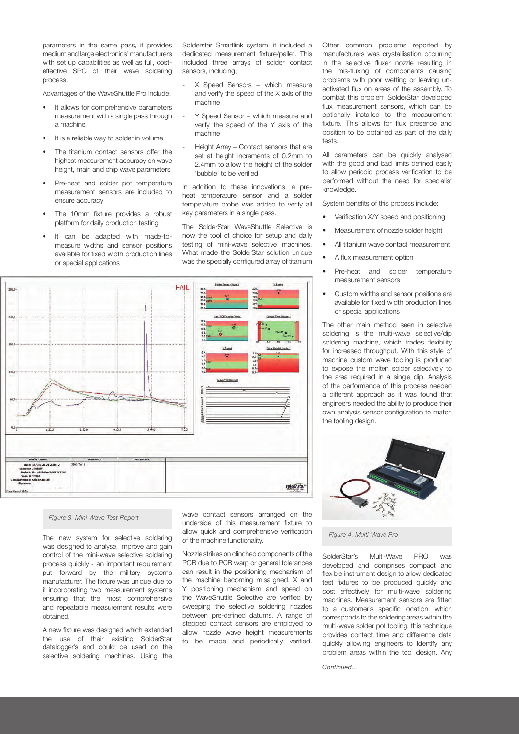parameters in the same pass, it provides medium and large electronics' manufacturers with set up capabilities as well as full, costeffective SPC of their wave soldering process.

Advantages of the WaveShuttle Pro include:

- It allows for comprehensive parameters measurement with a single pass through a machine
- It is a reliable way to solder in volume
- The titanium contact sensors offer the highest measurement accuracy on wave height, main and chip wave parameters
- Pre-heat and solder pot temperature measurement sensors are included to ensure accuracy
- The 10mm fixture provides a robust platform for daily production testing
- It can be adapted with made-tomeasure widths and sensor positions available for fixed width production lines or special applications

Solderstar Smartlink system, it included a dedicated measurement fixture/pallet. This included three arrays of solder contact sensors, including;

- X Speed Sensors which measure and verify the speed of the X axis of the machine
- Y Speed Sensor which measure and verify the speed of the Y axis of the machine
- Height Array Contact sensors that are set at height increments of 0.2mm to 2.4mm to allow the height of the solder 'bubble' to be verified

In addition to these innovations, a preheat temperature sensor and a solder temperature probe was added to verify all key parameters in a single pass.

The SolderStar WaveShuttle Selective is now the tool of choice for setup and daily testing of mini-wave selective machines. What made the SolderStar solution unique was the specially configured array of titanium



#### *Figure 3. Mini-Wave Test Report*

The new system for selective soldering was designed to analyse, improve and gain control of the mini-wave selective soldering process quickly - an important requirement put forward by the military systems manufacturer. The fixture was unique due to it incorporating two measurement systems ensuring that the most comprehensive and repeatable measurement results were obtained.

A new fixture was designed which extended the use of their existing SolderStar datalogger's and could be used on the selective soldering machines. Using the wave contact sensors arranged on the underside of this measurement fixture to allow quick and comprehensive verification of the machine functionality.

Nozzle strikes on clinched components of the PCB due to PCB warp or general tolerances can result in the positioning mechanism of the machine becoming misaligned. X and Y positioning mechanism and speed on the WaveShuttle Selective are verified by sweeping the selective soldering nozzles between pre-defined datums. A range of stepped contact sensors are employed to allow nozzle wave height measurements to be made and periodically verified.

Other common problems reported by manufacturers was crystallisation occurring in the selective fluxer nozzle resulting in the mis-fluxing of components causing problems with poor wetting or leaving unactivated flux on areas of the assembly. To combat this problem SolderStar developed flux measurement sensors, which can be optionally installed to the measurement fixture. This allows for flux presence and position to be obtained as part of the daily tests.

All parameters can be quickly analysed with the good and bad limits defined easily to allow periodic process verification to be performed without the need for specialist knowledge

System benefits of this process include:

- Verification X/Y speed and positioning
- Measurement of nozzle solder height
- All titanium wave contact measurement
- A flux measurement option
- Pre-heat and solder temperature measurement sensors
- Custom widths and sensor positions are available for fixed width production lines or special applications

The other main method seen in selective soldering is the multi-wave selective/dip soldering machine, which trades flexibility for increased throughput. With this style of machine custom wave tooling is produced to expose the molten solder selectively to the area required in a single dip. Analysis of the performance of this process needed a different approach as it was found that engineers needed the ability to produce their own analysis sensor configuration to match the tooling design.



*Figure 4. Multi-Wave Pro*

SolderStar's Multi-Wave PRO was developed and comprises compact and flexible instrument design to allow dedicated test fixtures to be produced quickly and cost effectively for multi-wave soldering machines. Measurement sensors are fitted to a customer's specific location, which corresponds to the soldering areas within the multi-wave solder pot tooling, this technique provides contact time and difference data quickly allowing engineers to identify any problem areas within the tool design. Any

*Continued...*